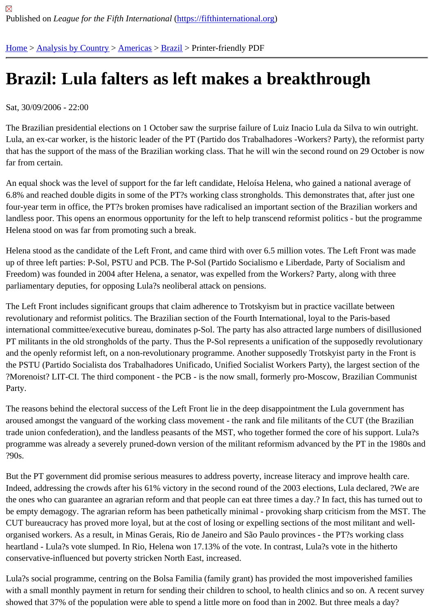## [Bra](https://fifthinternational.org/)[zil: Lula fa](https://fifthinternational.org/category/1)l[ters a](https://fifthinternational.org/category/1/56)[s le](https://fifthinternational.org/category/1/56/62)ft makes a breakthrough

Sat, 30/09/2006 - 22:00

The Brazilian presidential elections on 1 October saw the surprise failure of Luiz Inacio Lula da Silva to win outrigh Lula, an ex-car worker, is the historic leader of the PT (Partido dos Trabalhadores -Workers? Party), the reformist that has the support of the mass of the Brazilian working class. That he will win the second round on 29 October is far from certain.

An equal shock was the level of support for the far left candidate, Heloísa Helena, who gained a national average 6.8% and reached double digits in some of the PT?s working class strongholds. This demonstrates that, after just four-year term in office, the PT?s broken promises have radicalised an important section of the Brazilian workers a landless poor. This opens an enormous opportunity for the left to help transcend reformist politics - but the program Helena stood on was far from promoting such a break.

Helena stood as the candidate of the Left Front, and came third with over 6.5 million votes. The Left Front was ma up of three left parties: P-Sol, PSTU and PCB. The P-Sol (Partido Socialismo e Liberdade, Party of Socialism and Freedom) was founded in 2004 after Helena, a senator, was expelled from the Workers? Party, along with three parliamentary deputies, for opposing Lula?s neoliberal attack on pensions.

The Left Front includes significant groups that claim adherence to Trotskyism but in practice vacillate between revolutionary and reformist politics. The Brazilian section of the Fourth International, loyal to the Paris-based international committee/executive bureau, dominates p-Sol. The party has also attracted large numbers of disillusi PT militants in the old strongholds of the party. Thus the P-Sol represents a unification of the supposedly revolutio and the openly reformist left, on a non-revolutionary programme. Another supposedly Trotskyist party in the Front the PSTU (Partido Socialista dos Trabalhadores Unificado, Unified Socialist Workers Party), the largest section of ?Morenoist? LIT-CI. The third component - the PCB - is the now small, formerly pro-Moscow, Brazilian Communist Party.

The reasons behind the electoral success of the Left Front lie in the deep disappointment the Lula government has aroused amongst the vanguard of the working class movement - the rank and file militants of the CUT (the Brazilia trade union confederation), and the landless peasants of the MST, who together formed the core of his support. Lu programme was already a severely pruned-down version of the militant reformism advanced by the PT in the 1980 ?90s.

But the PT government did promise serious measures to address poverty, increase literacy and improve health ca Indeed, addressing the crowds after his 61% victory in the second round of the 2003 elections, Lula declared, ?We the ones who can guarantee an agrarian reform and that people can eat three times a day.? In fact, this has turne be empty demagogy. The agrarian reform has been pathetically minimal - provoking sharp criticism from the MST. CUT bureaucracy has proved more loyal, but at the cost of losing or expelling sections of the most militant and wellorganised workers. As a result, in Minas Gerais, Rio de Janeiro and São Paulo provinces - the PT?s working class heartland - Lula?s vote slumped. In Rio, Helena won 17.13% of the vote. In contrast, Lula?s vote in the hitherto conservative-influenced but poverty stricken North East, increased.

Lula?s social programme, centring on the Bolsa Familia (family grant) has provided the most impoverished familie with a small monthly payment in return for sending their children to school, to health clinics and so on. A recent su showed that 37% of the population were able to spend a little more on food than in 2002. But three meals a day?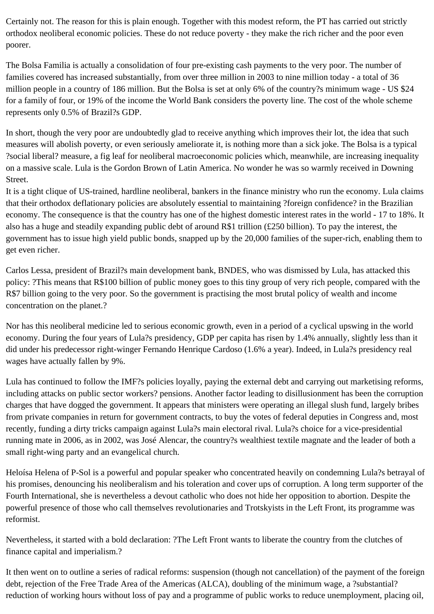Certainly not. The reason for this is plain enough. Together with this modest reform, the PT has carried out strictly orthodox neoliberal economic policies. These do not reduce poverty - they make the rich richer and the poor even poorer.

The Bolsa Familia is actually a consolidation of four pre-existing cash payments to the very poor. The number of families covered has increased substantially, from over three million in 2003 to nine million today - a total of 36 million people in a country of 186 million. But the Bolsa is set at only 6% of the country?s minimum wage - US \$24 for a family of four, or 19% of the income the World Bank considers the poverty line. The cost of the whole scheme represents only 0.5% of Brazil?s GDP.

In short, though the very poor are undoubtedly glad to receive anything which improves their lot, the idea that such measures will abolish poverty, or even seriously ameliorate it, is nothing more than a sick joke. The Bolsa is a typical ?social liberal? measure, a fig leaf for neoliberal macroeconomic policies which, meanwhile, are increasing inequality on a massive scale. Lula is the Gordon Brown of Latin America. No wonder he was so warmly received in Downing Street.

It is a tight clique of US-trained, hardline neoliberal, bankers in the finance ministry who run the economy. Lula claims that their orthodox deflationary policies are absolutely essential to maintaining ?foreign confidence? in the Brazilian economy. The consequence is that the country has one of the highest domestic interest rates in the world - 17 to 18%. It also has a huge and steadily expanding public debt of around R\$1 trillion (£250 billion). To pay the interest, the government has to issue high yield public bonds, snapped up by the 20,000 families of the super-rich, enabling them to get even richer.

Carlos Lessa, president of Brazil?s main development bank, BNDES, who was dismissed by Lula, has attacked this policy: ?This means that R\$100 billion of public money goes to this tiny group of very rich people, compared with the R\$7 billion going to the very poor. So the government is practising the most brutal policy of wealth and income concentration on the planet.?

Nor has this neoliberal medicine led to serious economic growth, even in a period of a cyclical upswing in the world economy. During the four years of Lula?s presidency, GDP per capita has risen by 1.4% annually, slightly less than it did under his predecessor right-winger Fernando Henrique Cardoso (1.6% a year). Indeed, in Lula?s presidency real wages have actually fallen by 9%.

Lula has continued to follow the IMF?s policies loyally, paying the external debt and carrying out marketising reforms, including attacks on public sector workers? pensions. Another factor leading to disillusionment has been the corruption charges that have dogged the government. It appears that ministers were operating an illegal slush fund, largely bribes from private companies in return for government contracts, to buy the votes of federal deputies in Congress and, most recently, funding a dirty tricks campaign against Lula?s main electoral rival. Lula?s choice for a vice-presidential running mate in 2006, as in 2002, was José Alencar, the country?s wealthiest textile magnate and the leader of both a small right-wing party and an evangelical church.

Heloísa Helena of P-Sol is a powerful and popular speaker who concentrated heavily on condemning Lula?s betrayal of his promises, denouncing his neoliberalism and his toleration and cover ups of corruption. A long term supporter of the Fourth International, she is nevertheless a devout catholic who does not hide her opposition to abortion. Despite the powerful presence of those who call themselves revolutionaries and Trotskyists in the Left Front, its programme was reformist.

Nevertheless, it started with a bold declaration: ?The Left Front wants to liberate the country from the clutches of finance capital and imperialism.?

It then went on to outline a series of radical reforms: suspension (though not cancellation) of the payment of the foreign debt, rejection of the Free Trade Area of the Americas (ALCA), doubling of the minimum wage, a ?substantial? reduction of working hours without loss of pay and a programme of public works to reduce unemployment, placing oil,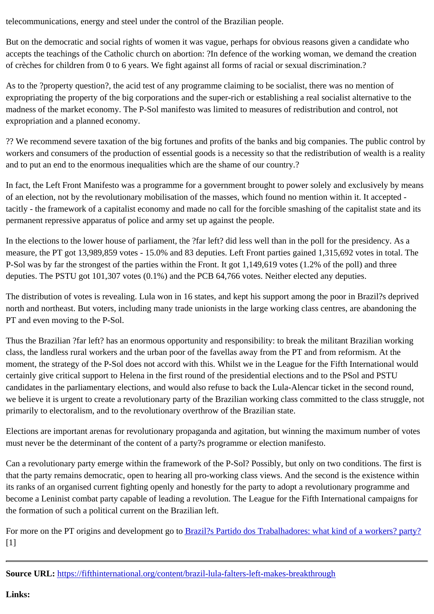But on the democratic and social rights of women it was vague, perhaps for obvious reasons given a candidate wh accepts the teachings of the Catholic church on abortion: ?In defence of the working woman, we demand the crea of crèches for children from 0 to 6 years. We fight against all forms of racial or sexual discrimination.?

As to the ?property question?, the acid test of any programme claiming to be socialist, there was no mention of expropriating the property of the big corporations and the super-rich or establishing a real socialist alternative to th madness of the market economy. The P-Sol manifesto was limited to measures of redistribution and control, not expropriation and a planned economy.

?? We recommend severe taxation of the big fortunes and profits of the banks and big companies. The public control workers and consumers of the production of essential goods is a necessity so that the redistribution of wealth is a and to put an end to the enormous inequalities which are the shame of our country.?

In fact, the Left Front Manifesto was a programme for a government brought to power solely and exclusively by me of an election, not by the revolutionary mobilisation of the masses, which found no mention within it. It accepted tacitly - the framework of a capitalist economy and made no call for the forcible smashing of the capitalist state and permanent repressive apparatus of police and army set up against the people.

In the elections to the lower house of parliament, the ?far left? did less well than in the poll for the presidency. As a measure, the PT got 13,989,859 votes - 15.0% and 83 deputies. Left Front parties gained 1,315,692 votes in total. P-Sol was by far the strongest of the parties within the Front. It got 1,149,619 votes (1.2% of the poll) and three deputies. The PSTU got 101,307 votes (0.1%) and the PCB 64,766 votes. Neither elected any deputies.

The distribution of votes is revealing. Lula won in 16 states, and kept his support among the poor in Brazil?s depriv north and northeast. But voters, including many trade unionists in the large working class centres, are abandoning PT and even moving to the P-Sol.

Thus the Brazilian ?far left? has an enormous opportunity and responsibility: to break the militant Brazilian working class, the landless rural workers and the urban poor of the favellas away from the PT and from reformism. At the moment, the strategy of the P-Sol does not accord with this. Whilst we in the League for the Fifth International wou certainly give critical support to Helena in the first round of the presidential elections and to the PSol and PSTU candidates in the parliamentary elections, and would also refuse to back the Lula-Alencar ticket in the second rour we believe it is urgent to create a revolutionary party of the Brazilian working class committed to the class struggle primarily to electoralism, and to the revolutionary overthrow of the Brazilian state.

Elections are important arenas for revolutionary propaganda and agitation, but winning the maximum number of vo must never be the determinant of the content of a party?s programme or election manifesto.

Can a revolutionary party emerge within the framework of the P-Sol? Possibly, but only on two conditions. The firs that the party remains democratic, open to hearing all pro-working class views. And the second is the existence wi its ranks of an organised current fighting openly and honestly for the party to adopt a revolutionary programme and become a Leninist combat party capable of leading a revolution. The League for the Fifth International campaigns the formation of such a political current on the Brazilian left.

For more on the PT origins and development gortoxil?s Partido dos Trabalhadores: what kind of a workers? party? [1]

Source URL: https://fifthinternational.org/conte[nt/brazil-lula-falters-left-makes-breakthrough](http://www.fifthinternational.org/content/brazil’s-partido-dos-trabalhadores-what-kind-workers’-party)

Links: